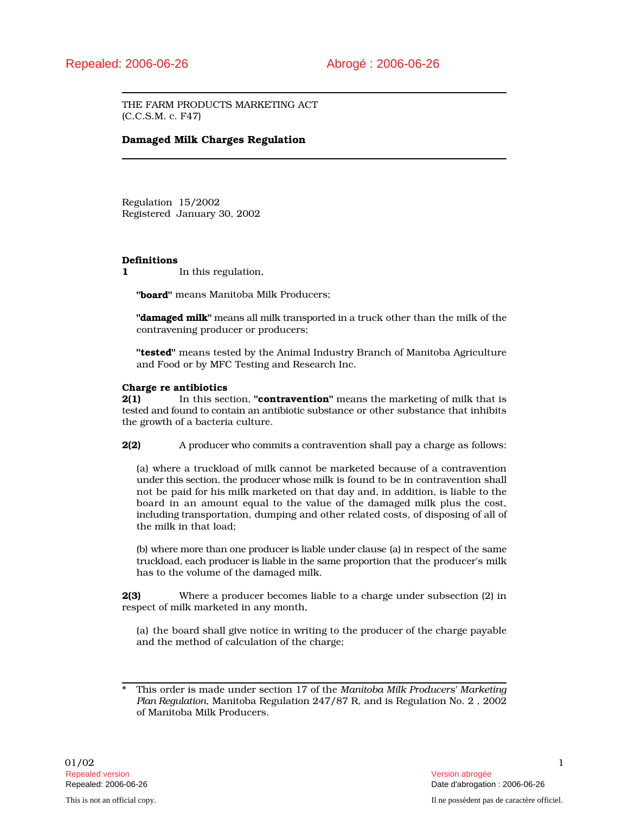THE FARM PRODUCTS MARKETING ACT (C.C.S.M. c. F47)

## Damaged Milk Charges Regulation

Regulation 15/2002 Registered January 30, 2002

## Definitions

1 In this regulation,

"board" means Manitoba Milk Producers;

"**damaged milk**" means all milk transported in a truck other than the milk of the contravening producer or producers;

"tested" means tested by the Animal Industry Branch of Manitoba Agriculture and Food or by MFC Testing and Research Inc.

## Charge re antibiotics

**2(1)** In this section, "**contravention**" means the marketing of milk that is tested and found to contain an antibiotic substance or other substance that inhibits the growth of a bacteria culture.

2(2) A producer who commits a contravention shall pay a charge as follows:

(a) where a truckload of milk cannot be marketed because of a contravention under this section, the producer whose milk is found to be in contravention shall not be paid for his milk marketed on that day and, in addition, is liable to the board in an amount equal to the value of the damaged milk plus the cost, including transportation, dumping and other related costs, of disposing of all of the milk in that load;

(b) where more than one producer is liable under clause (a) in respect of the same truckload, each producer is liable in the same proportion that the producer's milk has to the volume of the damaged milk.

2(3) Where a producer becomes liable to a charge under subsection (2) in respect of milk marketed in any month,

(a) the board shall give notice in writing to the producer of the charge payable and the method of calculation of the charge;

<sup>\*</sup> This order is made under section 17 of the *Manitoba Milk Producers' Marketing Plan Regulation*, Manitoba Regulation 247/87 R, and is Regulation No. 2 , 2002 of Manitoba Milk Producers.